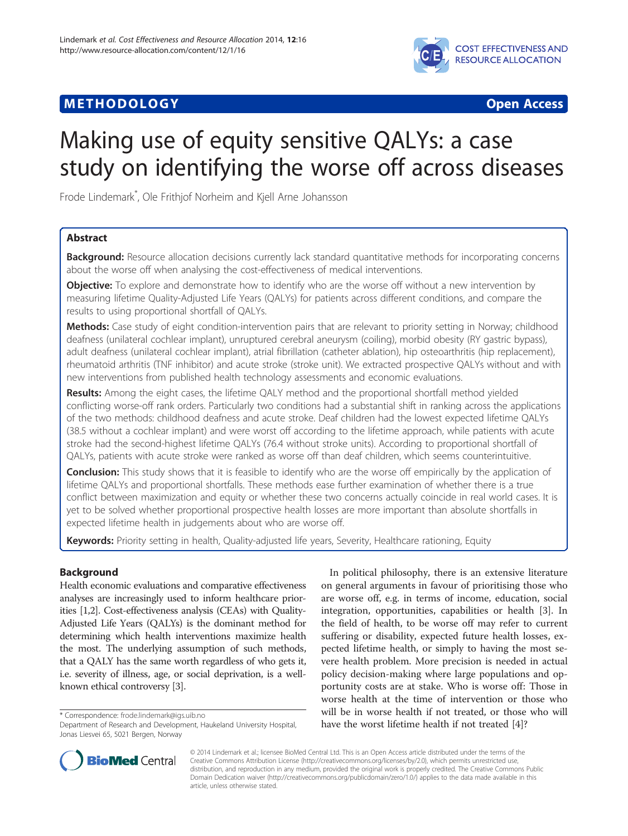

## **METHODOLOGY CONSUMING ACCESS**



# Making use of equity sensitive QALYs: a case study on identifying the worse off across diseases

Frode Lindemark\* , Ole Frithjof Norheim and Kjell Arne Johansson

## Abstract

Background: Resource allocation decisions currently lack standard quantitative methods for incorporating concerns about the worse off when analysing the cost-effectiveness of medical interventions.

**Objective:** To explore and demonstrate how to identify who are the worse off without a new intervention by measuring lifetime Quality-Adjusted Life Years (QALYs) for patients across different conditions, and compare the results to using proportional shortfall of QALYs.

Methods: Case study of eight condition-intervention pairs that are relevant to priority setting in Norway; childhood deafness (unilateral cochlear implant), unruptured cerebral aneurysm (coiling), morbid obesity (RY gastric bypass), adult deafness (unilateral cochlear implant), atrial fibrillation (catheter ablation), hip osteoarthritis (hip replacement), rheumatoid arthritis (TNF inhibitor) and acute stroke (stroke unit). We extracted prospective QALYs without and with new interventions from published health technology assessments and economic evaluations.

Results: Among the eight cases, the lifetime QALY method and the proportional shortfall method yielded conflicting worse-off rank orders. Particularly two conditions had a substantial shift in ranking across the applications of the two methods: childhood deafness and acute stroke. Deaf children had the lowest expected lifetime QALYs (38.5 without a cochlear implant) and were worst off according to the lifetime approach, while patients with acute stroke had the second-highest lifetime QALYs (76.4 without stroke units). According to proportional shortfall of QALYs, patients with acute stroke were ranked as worse off than deaf children, which seems counterintuitive.

**Conclusion:** This study shows that it is feasible to identify who are the worse off empirically by the application of lifetime QALYs and proportional shortfalls. These methods ease further examination of whether there is a true conflict between maximization and equity or whether these two concerns actually coincide in real world cases. It is yet to be solved whether proportional prospective health losses are more important than absolute shortfalls in expected lifetime health in judgements about who are worse off.

Keywords: Priority setting in health, Quality-adjusted life years, Severity, Healthcare rationing, Equity

## Background

Health economic evaluations and comparative effectiveness analyses are increasingly used to inform healthcare priorities [[1,2](#page-7-0)]. Cost-effectiveness analysis (CEAs) with Quality-Adjusted Life Years (QALYs) is the dominant method for determining which health interventions maximize health the most. The underlying assumption of such methods, that a QALY has the same worth regardless of who gets it, i.e. severity of illness, age, or social deprivation, is a wellknown ethical controversy [\[3](#page-7-0)].

\* Correspondence: [frode.lindemark@igs.uib.no](mailto:frode.lindemark@igs.uib.no)

In political philosophy, there is an extensive literature on general arguments in favour of prioritising those who are worse off, e.g. in terms of income, education, social integration, opportunities, capabilities or health [[3\]](#page-7-0). In the field of health, to be worse off may refer to current suffering or disability, expected future health losses, expected lifetime health, or simply to having the most severe health problem. More precision is needed in actual policy decision-making where large populations and opportunity costs are at stake. Who is worse off: Those in worse health at the time of intervention or those who will be in worse health if not treated, or those who will have the worst lifetime health if not treated [[4\]](#page-7-0)?



© 2014 Lindemark et al.; licensee BioMed Central Ltd. This is an Open Access article distributed under the terms of the Creative Commons Attribution License (<http://creativecommons.org/licenses/by/2.0>), which permits unrestricted use, distribution, and reproduction in any medium, provided the original work is properly credited. The Creative Commons Public Domain Dedication waiver [\(http://creativecommons.org/publicdomain/zero/1.0/\)](http://creativecommons.org/publicdomain/zero/1.0/) applies to the data made available in this article, unless otherwise stated.

Department of Research and Development, Haukeland University Hospital, Jonas Liesvei 65, 5021 Bergen, Norway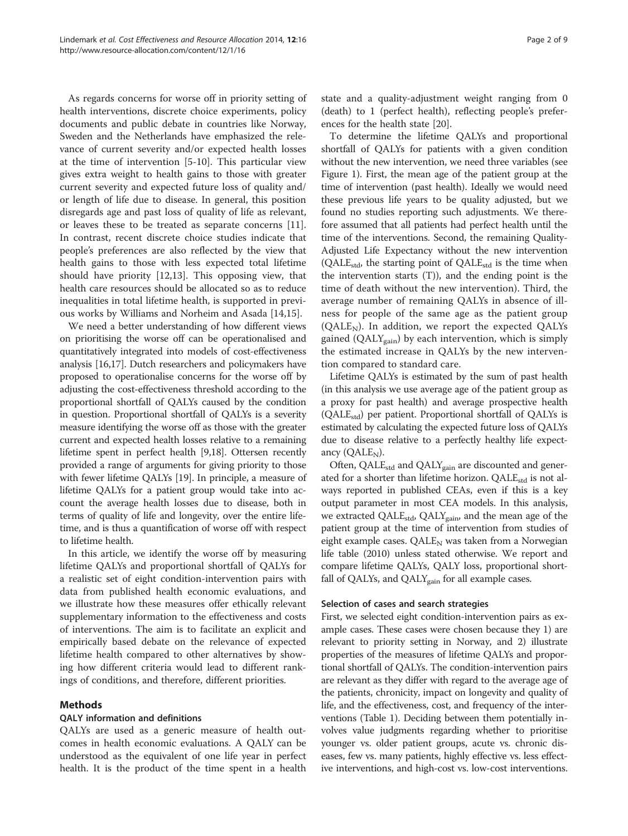As regards concerns for worse off in priority setting of health interventions, discrete choice experiments, policy documents and public debate in countries like Norway, Sweden and the Netherlands have emphasized the relevance of current severity and/or expected health losses at the time of intervention [\[5-10](#page-7-0)]. This particular view gives extra weight to health gains to those with greater current severity and expected future loss of quality and/ or length of life due to disease. In general, this position disregards age and past loss of quality of life as relevant, or leaves these to be treated as separate concerns [\[11](#page-7-0)]. In contrast, recent discrete choice studies indicate that people's preferences are also reflected by the view that health gains to those with less expected total lifetime should have priority [\[12,13](#page-7-0)]. This opposing view, that health care resources should be allocated so as to reduce inequalities in total lifetime health, is supported in previous works by Williams and Norheim and Asada [[14,15](#page-7-0)].

We need a better understanding of how different views on prioritising the worse off can be operationalised and quantitatively integrated into models of cost-effectiveness analysis [\[16,17\]](#page-7-0). Dutch researchers and policymakers have proposed to operationalise concerns for the worse off by adjusting the cost-effectiveness threshold according to the proportional shortfall of QALYs caused by the condition in question. Proportional shortfall of QALYs is a severity measure identifying the worse off as those with the greater current and expected health losses relative to a remaining lifetime spent in perfect health [\[9,18\]](#page-7-0). Ottersen recently provided a range of arguments for giving priority to those with fewer lifetime QALYs [\[19\]](#page-7-0). In principle, a measure of lifetime QALYs for a patient group would take into account the average health losses due to disease, both in terms of quality of life and longevity, over the entire lifetime, and is thus a quantification of worse off with respect to lifetime health.

In this article, we identify the worse off by measuring lifetime QALYs and proportional shortfall of QALYs for a realistic set of eight condition-intervention pairs with data from published health economic evaluations, and we illustrate how these measures offer ethically relevant supplementary information to the effectiveness and costs of interventions. The aim is to facilitate an explicit and empirically based debate on the relevance of expected lifetime health compared to other alternatives by showing how different criteria would lead to different rankings of conditions, and therefore, different priorities.

## Methods

## QALY information and definitions

QALYs are used as a generic measure of health outcomes in health economic evaluations. A QALY can be understood as the equivalent of one life year in perfect health. It is the product of the time spent in a health state and a quality-adjustment weight ranging from 0 (death) to 1 (perfect health), reflecting people's preferences for the health state [[20](#page-7-0)].

To determine the lifetime QALYs and proportional shortfall of QALYs for patients with a given condition without the new intervention, we need three variables (see Figure [1](#page-2-0)). First, the mean age of the patient group at the time of intervention (past health). Ideally we would need these previous life years to be quality adjusted, but we found no studies reporting such adjustments. We therefore assumed that all patients had perfect health until the time of the interventions. Second, the remaining Quality-Adjusted Life Expectancy without the new intervention  $(QALE<sub>std</sub>$ , the starting point of  $QALE<sub>std</sub>$  is the time when the intervention starts  $(T)$ ), and the ending point is the time of death without the new intervention). Third, the average number of remaining QALYs in absence of illness for people of the same age as the patient group  $(QALE<sub>N</sub>)$ . In addition, we report the expected QALYs gained ( $QALY_{\text{gain}}$ ) by each intervention, which is simply the estimated increase in QALYs by the new intervention compared to standard care.

Lifetime QALYs is estimated by the sum of past health (in this analysis we use average age of the patient group as a proxy for past health) and average prospective health  $(QALE<sub>std</sub>)$  per patient. Proportional shortfall of QALYs is estimated by calculating the expected future loss of QALYs due to disease relative to a perfectly healthy life expectancy ( $QALE_N$ ).

Often,  $QALE_{std}$  and  $QALY_{gain}$  are discounted and generated for a shorter than lifetime horizon.  $QALE_{std}$  is not always reported in published CEAs, even if this is a key output parameter in most CEA models. In this analysis, we extracted  $QALE_{std}$ ,  $QALY_{gain}$ , and the mean age of the patient group at the time of intervention from studies of eight example cases.  $QALE<sub>N</sub>$  was taken from a Norwegian life table (2010) unless stated otherwise. We report and compare lifetime QALYs, QALY loss, proportional shortfall of QALYs, and QALY $_{gain}$  for all example cases.

#### Selection of cases and search strategies

First, we selected eight condition-intervention pairs as example cases. These cases were chosen because they 1) are relevant to priority setting in Norway, and 2) illustrate properties of the measures of lifetime QALYs and proportional shortfall of QALYs. The condition-intervention pairs are relevant as they differ with regard to the average age of the patients, chronicity, impact on longevity and quality of life, and the effectiveness, cost, and frequency of the interventions (Table [1](#page-3-0)). Deciding between them potentially involves value judgments regarding whether to prioritise younger vs. older patient groups, acute vs. chronic diseases, few vs. many patients, highly effective vs. less effective interventions, and high-cost vs. low-cost interventions.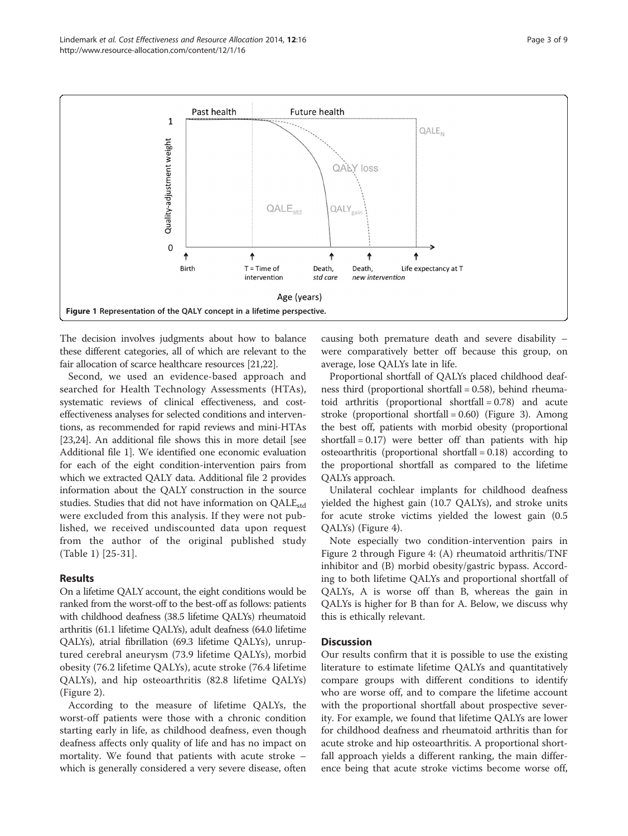<span id="page-2-0"></span>

The decision involves judgments about how to balance these different categories, all of which are relevant to the fair allocation of scarce healthcare resources [\[21,22\]](#page-7-0).

Second, we used an evidence-based approach and searched for Health Technology Assessments (HTAs), systematic reviews of clinical effectiveness, and costeffectiveness analyses for selected conditions and interventions, as recommended for rapid reviews and mini-HTAs [[23,24](#page-7-0)]. An additional file shows this in more detail [see Additional file [1](#page-7-0)]. We identified one economic evaluation for each of the eight condition-intervention pairs from which we extracted QALY data. Additional file [2](#page-7-0) provides information about the QALY construction in the source studies. Studies that did not have information on QALE<sub>std</sub> were excluded from this analysis. If they were not published, we received undiscounted data upon request from the author of the original published study (Table [1\)](#page-3-0) [\[25](#page-7-0)[-31](#page-8-0)].

## Results

On a lifetime QALY account, the eight conditions would be ranked from the worst-off to the best-off as follows: patients with childhood deafness (38.5 lifetime QALYs) rheumatoid arthritis (61.1 lifetime QALYs), adult deafness (64.0 lifetime QALYs), atrial fibrillation (69.3 lifetime QALYs), unruptured cerebral aneurysm (73.9 lifetime QALYs), morbid obesity (76.2 lifetime QALYs), acute stroke (76.4 lifetime QALYs), and hip osteoarthritis (82.8 lifetime QALYs) (Figure [2](#page-4-0)).

According to the measure of lifetime QALYs, the worst-off patients were those with a chronic condition starting early in life, as childhood deafness, even though deafness affects only quality of life and has no impact on mortality. We found that patients with acute stroke – which is generally considered a very severe disease, often

causing both premature death and severe disability – were comparatively better off because this group, on average, lose QALYs late in life.

Proportional shortfall of QALYs placed childhood deafness third (proportional shortfall = 0.58), behind rheumatoid arthritis (proportional shortfall  $= 0.78$ ) and acute stroke (proportional shortfall = 0.60) (Figure [3](#page-4-0)). Among the best off, patients with morbid obesity (proportional shortfall  $= 0.17$ ) were better off than patients with hip osteoarthritis (proportional shortfall = 0.18) according to the proportional shortfall as compared to the lifetime QALYs approach.

Unilateral cochlear implants for childhood deafness yielded the highest gain (10.7 QALYs), and stroke units for acute stroke victims yielded the lowest gain (0.5 QALYs) (Figure [4](#page-5-0)).

Note especially two condition-intervention pairs in Figure [2](#page-4-0) through Figure [4](#page-5-0): (A) rheumatoid arthritis/TNF inhibitor and (B) morbid obesity/gastric bypass. According to both lifetime QALYs and proportional shortfall of QALYs, A is worse off than B, whereas the gain in QALYs is higher for B than for A. Below, we discuss why this is ethically relevant.

## **Discussion**

Our results confirm that it is possible to use the existing literature to estimate lifetime QALYs and quantitatively compare groups with different conditions to identify who are worse off, and to compare the lifetime account with the proportional shortfall about prospective severity. For example, we found that lifetime QALYs are lower for childhood deafness and rheumatoid arthritis than for acute stroke and hip osteoarthritis. A proportional shortfall approach yields a different ranking, the main difference being that acute stroke victims become worse off,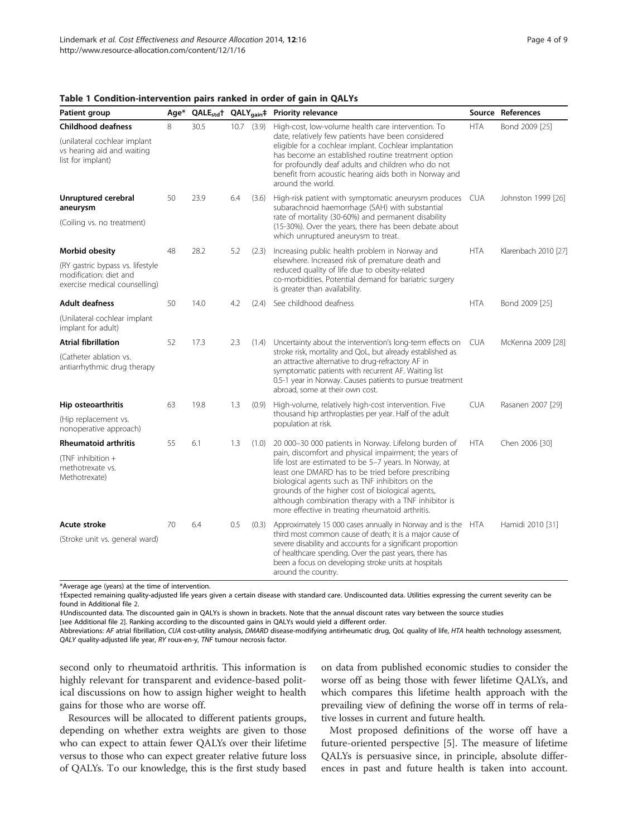<span id="page-3-0"></span>

|  |  | Table 1 Condition-intervention pairs ranked in order of gain in QALYs |  |  |  |  |  |  |  |  |
|--|--|-----------------------------------------------------------------------|--|--|--|--|--|--|--|--|
|--|--|-----------------------------------------------------------------------|--|--|--|--|--|--|--|--|

| Patient group                                                                               | Age* |      |     |                | QALE <sub>std</sub> † QALY <sub>qain</sub> ‡ Priority relevance                                                                                                                                                                                                                                                                                                                           |            | Source References    |  |
|---------------------------------------------------------------------------------------------|------|------|-----|----------------|-------------------------------------------------------------------------------------------------------------------------------------------------------------------------------------------------------------------------------------------------------------------------------------------------------------------------------------------------------------------------------------------|------------|----------------------|--|
| <b>Childhood deafness</b><br>(unilateral cochlear implant                                   | 8    | 30.5 |     | $10.7$ $(3.9)$ | High-cost, low-volume health care intervention. To<br>date, relatively few patients have been considered                                                                                                                                                                                                                                                                                  | <b>HTA</b> | Bond 2009 [25]       |  |
| vs hearing aid and waiting<br>list for implant)                                             |      |      |     |                | eligible for a cochlear implant. Cochlear implantation<br>has become an established routine treatment option<br>for profoundly deaf adults and children who do not<br>benefit from acoustic hearing aids both in Norway and<br>around the world.                                                                                                                                          |            |                      |  |
| Unruptured cerebral<br>aneurysm                                                             | 50   | 23.9 | 6.4 | (3.6)          | High-risk patient with symptomatic aneurysm produces<br>subarachnoid haemorrhage (SAH) with substantial                                                                                                                                                                                                                                                                                   | CUA        | Johnston 1999 [26]   |  |
| (Coiling vs. no treatment)                                                                  |      |      |     |                | rate of mortality (30-60%) and permanent disability<br>(15-30%). Over the years, there has been debate about<br>which unruptured aneurysm to treat.                                                                                                                                                                                                                                       |            |                      |  |
| Morbid obesity                                                                              | 48   | 28.2 | 5.2 | (2.3)          | Increasing public health problem in Norway and                                                                                                                                                                                                                                                                                                                                            | <b>HTA</b> | Klarenbach 2010 [27] |  |
| (RY gastric bypass vs. lifestyle<br>modification: diet and<br>exercise medical counselling) |      |      |     |                | elsewhere. Increased risk of premature death and<br>reduced quality of life due to obesity-related<br>co-morbidities. Potential demand for bariatric surgery<br>is greater than availability.                                                                                                                                                                                             |            |                      |  |
| <b>Adult deafness</b>                                                                       | 50   | 14.0 | 4.2 | (2.4)          | See childhood deafness                                                                                                                                                                                                                                                                                                                                                                    | <b>HTA</b> | Bond 2009 [25]       |  |
| (Unilateral cochlear implant<br>implant for adult)                                          |      |      |     |                |                                                                                                                                                                                                                                                                                                                                                                                           |            |                      |  |
| <b>Atrial fibrillation</b>                                                                  | 52   | 17.3 | 2.3 | (1.4)          | Uncertainty about the intervention's long-term effects on                                                                                                                                                                                                                                                                                                                                 | <b>CUA</b> | McKenna 2009 [28]    |  |
| (Catheter ablation vs.<br>antiarrhythmic drug therapy                                       |      |      |     |                | stroke risk, mortality and QoL, but already established as<br>an attractive alternative to drug-refractory AF in<br>symptomatic patients with recurrent AF. Waiting list<br>0.5-1 year in Norway. Causes patients to pursue treatment<br>abroad, some at their own cost.                                                                                                                  |            |                      |  |
| Hip osteoarthritis                                                                          | 63   | 19.8 | 1.3 | (0.9)          | High-volume, relatively high-cost intervention. Five                                                                                                                                                                                                                                                                                                                                      | <b>CUA</b> | Rasanen 2007 [29]    |  |
| (Hip replacement vs.<br>nonoperative approach)                                              |      |      |     |                | thousand hip arthroplasties per year. Half of the adult<br>population at risk.                                                                                                                                                                                                                                                                                                            |            |                      |  |
| <b>Rheumatoid arthritis</b>                                                                 | 55   | 6.1  | 1.3 | (1.0)          | 20 000-30 000 patients in Norway. Lifelong burden of                                                                                                                                                                                                                                                                                                                                      | <b>HTA</b> | Chen 2006 [30]       |  |
| (TNF inhibition $+$<br>methotrexate vs.<br>Methotrexate)                                    |      |      |     |                | pain, discomfort and physical impairment; the years of<br>life lost are estimated to be 5-7 years. In Norway, at<br>least one DMARD has to be tried before prescribing<br>biological agents such as TNF inhibitors on the<br>grounds of the higher cost of biological agents,<br>although combination therapy with a TNF inhibitor is<br>more effective in treating rheumatoid arthritis. |            |                      |  |
| Acute stroke                                                                                | 70   | 6.4  | 0.5 | (0.3)          | Approximately 15 000 cases annually in Norway and is the HTA<br>third most common cause of death; it is a major cause of<br>severe disability and accounts for a significant proportion<br>of healthcare spending. Over the past years, there has<br>been a focus on developing stroke units at hospitals<br>around the country.                                                          |            | Hamidi 2010 [31]     |  |
| (Stroke unit vs. general ward)                                                              |      |      |     |                |                                                                                                                                                                                                                                                                                                                                                                                           |            |                      |  |

\*Average age (years) at the time of intervention.

†Expected remaining quality-adjusted life years given a certain disease with standard care. Undiscounted data. Utilities expressing the current severity can be found in Additional file [2.](#page-7-0)

‡Undiscounted data. The discounted gain in QALYs is shown in brackets. Note that the annual discount rates vary between the source studies

[see Additional file [2](#page-7-0)]. Ranking according to the discounted gains in QALYs would yield a different order.

Abbreviations: AF atrial fibrillation, CUA cost-utility analysis, DMARD disease-modifying antirheumatic drug, QoL quality of life, HTA health technology assessment, QALY quality-adjusted life year, RY roux-en-y, TNF tumour necrosis factor.

second only to rheumatoid arthritis. This information is highly relevant for transparent and evidence-based political discussions on how to assign higher weight to health gains for those who are worse off.

Resources will be allocated to different patients groups, depending on whether extra weights are given to those who can expect to attain fewer QALYs over their lifetime versus to those who can expect greater relative future loss of QALYs. To our knowledge, this is the first study based

on data from published economic studies to consider the worse off as being those with fewer lifetime QALYs, and which compares this lifetime health approach with the prevailing view of defining the worse off in terms of relative losses in current and future health.

Most proposed definitions of the worse off have a future-oriented perspective [[5\]](#page-7-0). The measure of lifetime QALYs is persuasive since, in principle, absolute differences in past and future health is taken into account.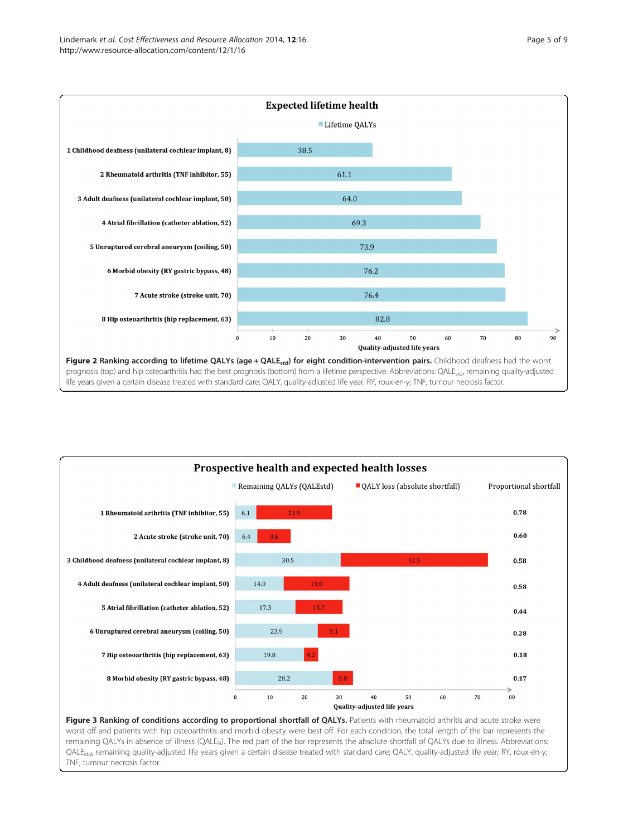<span id="page-4-0"></span>

Figure 2 Ranking according to lifetime QALYs (age + QALE<sub>std</sub>) for eight condition-intervention pairs. Childhood deafness had the worst prognosis (top) and hip osteoarthritis had the best prognosis (bottom) from a lifetime perspective. Abbreviations: QALE<sub>std</sub>, remaining quality-adjusted life years given a certain disease treated with standard care; QALY, quality-adjusted life year; RY, roux-en-y; TNF, tumour necrosis factor.



Figure 3 Ranking of conditions according to proportional shortfall of QALYs. Patients with rheumatoid arthritis and acute stroke were worst off and patients with hip osteoarthritis and morbid obesity were best off. For each condition, the total length of the bar represents the remaining QALYs in absence of illness (QALE<sub>N</sub>). The red part of the bar represents the absolute shortfall of QALYs due to illness. Abbreviations: QALE<sub>std</sub>, remaining quality-adjusted life years given a certain disease treated with standard care; QALY, quality-adjusted life year; RY, roux-en-y; TNF, tumour necrosis factor.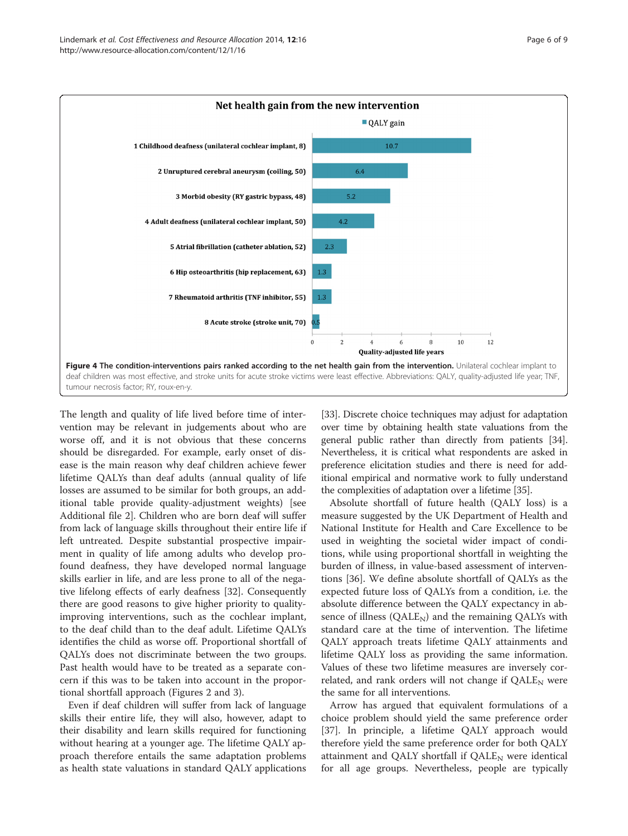<span id="page-5-0"></span>

The length and quality of life lived before time of intervention may be relevant in judgements about who are worse off, and it is not obvious that these concerns should be disregarded. For example, early onset of disease is the main reason why deaf children achieve fewer lifetime QALYs than deaf adults (annual quality of life losses are assumed to be similar for both groups, an additional table provide quality-adjustment weights) [see Additional file [2\]](#page-7-0). Children who are born deaf will suffer from lack of language skills throughout their entire life if left untreated. Despite substantial prospective impairment in quality of life among adults who develop profound deafness, they have developed normal language skills earlier in life, and are less prone to all of the negative lifelong effects of early deafness [[32\]](#page-8-0). Consequently there are good reasons to give higher priority to qualityimproving interventions, such as the cochlear implant, to the deaf child than to the deaf adult. Lifetime QALYs identifies the child as worse off. Proportional shortfall of QALYs does not discriminate between the two groups. Past health would have to be treated as a separate concern if this was to be taken into account in the proportional shortfall approach (Figures [2](#page-4-0) and [3](#page-4-0)).

Even if deaf children will suffer from lack of language skills their entire life, they will also, however, adapt to their disability and learn skills required for functioning without hearing at a younger age. The lifetime QALY approach therefore entails the same adaptation problems as health state valuations in standard QALY applications

[[33](#page-8-0)]. Discrete choice techniques may adjust for adaptation over time by obtaining health state valuations from the general public rather than directly from patients [[34](#page-8-0)]. Nevertheless, it is critical what respondents are asked in preference elicitation studies and there is need for additional empirical and normative work to fully understand the complexities of adaptation over a lifetime [\[35\]](#page-8-0).

Absolute shortfall of future health (QALY loss) is a measure suggested by the UK Department of Health and National Institute for Health and Care Excellence to be used in weighting the societal wider impact of conditions, while using proportional shortfall in weighting the burden of illness, in value-based assessment of interventions [\[36](#page-8-0)]. We define absolute shortfall of QALYs as the expected future loss of QALYs from a condition, i.e. the absolute difference between the QALY expectancy in absence of illness ( $QALE_N$ ) and the remaining QALYs with standard care at the time of intervention. The lifetime QALY approach treats lifetime QALY attainments and lifetime QALY loss as providing the same information. Values of these two lifetime measures are inversely correlated, and rank orders will not change if  $QALE<sub>N</sub>$  were the same for all interventions.

Arrow has argued that equivalent formulations of a choice problem should yield the same preference order [[37\]](#page-8-0). In principle, a lifetime QALY approach would therefore yield the same preference order for both QALY attainment and QALY shortfall if  $QALE<sub>N</sub>$  were identical for all age groups. Nevertheless, people are typically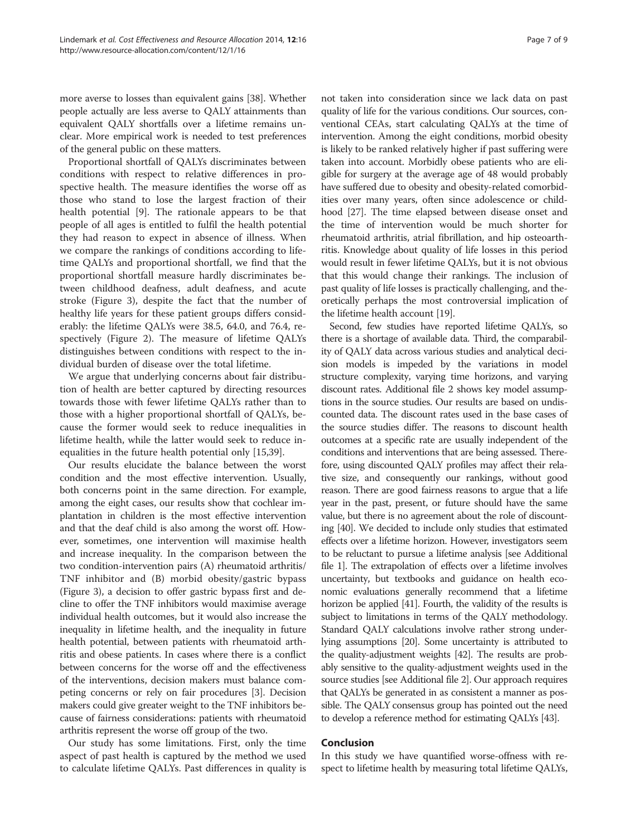more averse to losses than equivalent gains [\[38\]](#page-8-0). Whether people actually are less averse to QALY attainments than equivalent QALY shortfalls over a lifetime remains unclear. More empirical work is needed to test preferences of the general public on these matters.

Proportional shortfall of QALYs discriminates between conditions with respect to relative differences in prospective health. The measure identifies the worse off as those who stand to lose the largest fraction of their health potential [[9\]](#page-7-0). The rationale appears to be that people of all ages is entitled to fulfil the health potential they had reason to expect in absence of illness. When we compare the rankings of conditions according to lifetime QALYs and proportional shortfall, we find that the proportional shortfall measure hardly discriminates between childhood deafness, adult deafness, and acute stroke (Figure [3](#page-4-0)), despite the fact that the number of healthy life years for these patient groups differs considerably: the lifetime QALYs were 38.5, 64.0, and 76.4, respectively (Figure [2\)](#page-4-0). The measure of lifetime QALYs distinguishes between conditions with respect to the individual burden of disease over the total lifetime.

We argue that underlying concerns about fair distribution of health are better captured by directing resources towards those with fewer lifetime QALYs rather than to those with a higher proportional shortfall of QALYs, because the former would seek to reduce inequalities in lifetime health, while the latter would seek to reduce inequalities in the future health potential only [\[15,](#page-7-0)[39\]](#page-8-0).

Our results elucidate the balance between the worst condition and the most effective intervention. Usually, both concerns point in the same direction. For example, among the eight cases, our results show that cochlear implantation in children is the most effective intervention and that the deaf child is also among the worst off. However, sometimes, one intervention will maximise health and increase inequality. In the comparison between the two condition-intervention pairs (A) rheumatoid arthritis/ TNF inhibitor and (B) morbid obesity/gastric bypass (Figure [3](#page-4-0)), a decision to offer gastric bypass first and decline to offer the TNF inhibitors would maximise average individual health outcomes, but it would also increase the inequality in lifetime health, and the inequality in future health potential, between patients with rheumatoid arthritis and obese patients. In cases where there is a conflict between concerns for the worse off and the effectiveness of the interventions, decision makers must balance competing concerns or rely on fair procedures [[3](#page-7-0)]. Decision makers could give greater weight to the TNF inhibitors because of fairness considerations: patients with rheumatoid arthritis represent the worse off group of the two.

Our study has some limitations. First, only the time aspect of past health is captured by the method we used to calculate lifetime QALYs. Past differences in quality is

not taken into consideration since we lack data on past quality of life for the various conditions. Our sources, conventional CEAs, start calculating QALYs at the time of intervention. Among the eight conditions, morbid obesity is likely to be ranked relatively higher if past suffering were taken into account. Morbidly obese patients who are eligible for surgery at the average age of 48 would probably have suffered due to obesity and obesity-related comorbidities over many years, often since adolescence or childhood [[27](#page-7-0)]. The time elapsed between disease onset and the time of intervention would be much shorter for rheumatoid arthritis, atrial fibrillation, and hip osteoarthritis. Knowledge about quality of life losses in this period would result in fewer lifetime QALYs, but it is not obvious that this would change their rankings. The inclusion of past quality of life losses is practically challenging, and theoretically perhaps the most controversial implication of the lifetime health account [\[19\]](#page-7-0).

Second, few studies have reported lifetime QALYs, so there is a shortage of available data. Third, the comparability of QALY data across various studies and analytical decision models is impeded by the variations in model structure complexity, varying time horizons, and varying discount rates. Additional file [2](#page-7-0) shows key model assumptions in the source studies. Our results are based on undiscounted data. The discount rates used in the base cases of the source studies differ. The reasons to discount health outcomes at a specific rate are usually independent of the conditions and interventions that are being assessed. Therefore, using discounted QALY profiles may affect their relative size, and consequently our rankings, without good reason. There are good fairness reasons to argue that a life year in the past, present, or future should have the same value, but there is no agreement about the role of discounting [\[40](#page-8-0)]. We decided to include only studies that estimated effects over a lifetime horizon. However, investigators seem to be reluctant to pursue a lifetime analysis [see Additional file [1\]](#page-7-0). The extrapolation of effects over a lifetime involves uncertainty, but textbooks and guidance on health economic evaluations generally recommend that a lifetime horizon be applied [\[41](#page-8-0)]. Fourth, the validity of the results is subject to limitations in terms of the QALY methodology. Standard QALY calculations involve rather strong underlying assumptions [\[20](#page-7-0)]. Some uncertainty is attributed to the quality-adjustment weights [\[42\]](#page-8-0). The results are probably sensitive to the quality-adjustment weights used in the source studies [see Additional file [2](#page-7-0)]. Our approach requires that QALYs be generated in as consistent a manner as possible. The QALY consensus group has pointed out the need to develop a reference method for estimating QALYs [\[43\]](#page-8-0).

## Conclusion

In this study we have quantified worse-offness with respect to lifetime health by measuring total lifetime QALYs,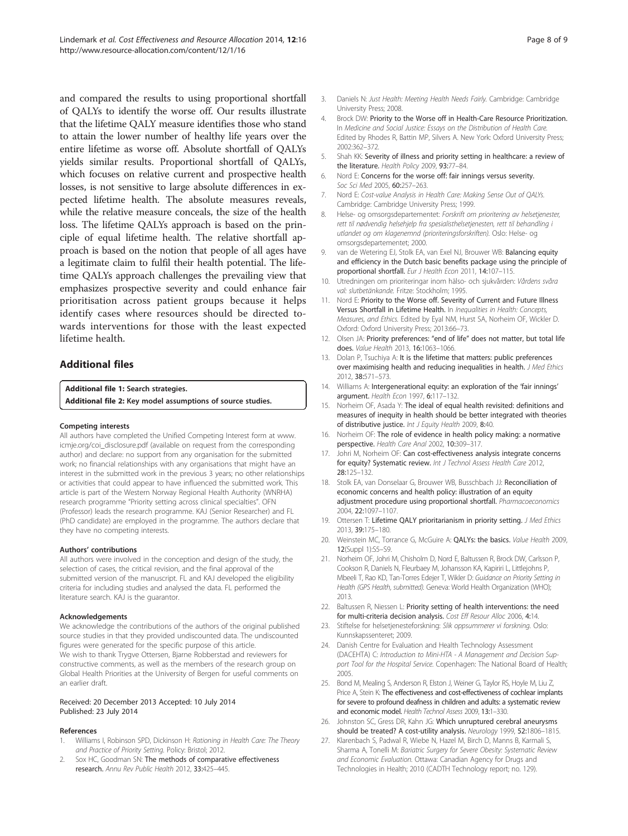<span id="page-7-0"></span>and compared the results to using proportional shortfall of QALYs to identify the worse off. Our results illustrate that the lifetime QALY measure identifies those who stand to attain the lower number of healthy life years over the entire lifetime as worse off. Absolute shortfall of QALYs yields similar results. Proportional shortfall of QALYs, which focuses on relative current and prospective health losses, is not sensitive to large absolute differences in expected lifetime health. The absolute measures reveals, while the relative measure conceals, the size of the health loss. The lifetime QALYs approach is based on the principle of equal lifetime health. The relative shortfall approach is based on the notion that people of all ages have a legitimate claim to fulfil their health potential. The lifetime QALYs approach challenges the prevailing view that emphasizes prospective severity and could enhance fair prioritisation across patient groups because it helps identify cases where resources should be directed towards interventions for those with the least expected lifetime health.

## Additional files

[Additional file 1:](http://www.biomedcentral.com/content/supplementary/1478-7547-12-16-S1.pdf) Search strategies.

[Additional file 2:](http://www.biomedcentral.com/content/supplementary/1478-7547-12-16-S2.pdf) Key model assumptions of source studies.

#### Competing interests

All authors have completed the Unified Competing Interest form at [www.](http://www.icmje.org/coi_disclosure.pdf) [icmje.org/coi\\_disclosure.pdf](http://www.icmje.org/coi_disclosure.pdf) (available on request from the corresponding author) and declare: no support from any organisation for the submitted work; no financial relationships with any organisations that might have an interest in the submitted work in the previous 3 years; no other relationships or activities that could appear to have influenced the submitted work. This article is part of the Western Norway Regional Health Authority (WNRHA) research programme "Priority setting across clinical specialties". OFN (Professor) leads the research programme. KAJ (Senior Researcher) and FL (PhD candidate) are employed in the programme. The authors declare that they have no competing interests.

#### Authors' contributions

All authors were involved in the conception and design of the study, the selection of cases, the critical revision, and the final approval of the submitted version of the manuscript. FL and KAJ developed the eligibility criteria for including studies and analysed the data. FL performed the literature search. KAJ is the guarantor.

#### Acknowledgements

We acknowledge the contributions of the authors of the original published source studies in that they provided undiscounted data. The undiscounted figures were generated for the specific purpose of this article. We wish to thank Trygve Ottersen, Bjarne Robberstad and reviewers for constructive comments, as well as the members of the research group on Global Health Priorities at the University of Bergen for useful comments on an earlier draft.

#### Received: 20 December 2013 Accepted: 10 July 2014 Published: 23 July 2014

#### References

- 1. Williams I, Robinson SPD, Dickinson H: Rationing in Health Care: The Theory and Practice of Priority Setting. Policy: Bristol; 2012.
- 2. Sox HC, Goodman SN: The methods of comparative effectiveness research. Annu Rev Public Health 2012, 33:425–445.
- 3. Daniels N: Just Health: Meeting Health Needs Fairly. Cambridge: Cambridge University Press; 2008.
- 4. Brock DW: Priority to the Worse off in Health-Care Resource Prioritization. In Medicine and Social Justice: Essays on the Distribution of Health Care. Edited by Rhodes R, Battin MP, Silvers A. New York: Oxford University Press; 2002:362–372.
- 5. Shah KK: Severity of illness and priority setting in healthcare: a review of the literature. Health Policy 2009, 93:77–84.
- 6. Nord E: Concerns for the worse off: fair innings versus severity. Soc Sci Med 2005, 60:257–263.
- 7. Nord E: Cost-value Analysis in Health Care: Making Sense Out of QALYs. Cambridge: Cambridge University Press; 1999.
- Helse- og omsorgsdepartementet: Forskrift om prioritering av helsetjenester, rett til nødvendig helsehjelp fra spesialisthelsetjenesten, rett til behandling i utlandet og om klagenemnd (prioriteringsforskriften). Oslo: Helse- og omsorgsdepartementet; 2000.
- 9. van de Wetering EJ, Stolk EA, van Exel NJ, Brouwer WB: Balancing equity and efficiency in the Dutch basic benefits package using the principle of proportional shortfall. Eur J Health Econ 2011, 14:107–115.
- 10. Utredningen om prioriteringar inom hälso- och sjukvården: Vårdens svåra val: slutbetänkande. Fritze: Stockholm; 1995.
- 11. Nord E: Priority to the Worse off. Severity of Current and Future Illness Versus Shortfall in Lifetime Health. In Inequalities in Health: Concepts, Measures, and Ethics. Edited by Eyal NM, Hurst SA, Norheim OF, Wickler D. Oxford: Oxford University Press; 2013:66–73.
- 12. Olsen JA: Priority preferences: "end of life" does not matter, but total life does. Value Health 2013, 16:1063–1066.
- 13. Dolan P, Tsuchiya A: It is the lifetime that matters: public preferences over maximising health and reducing inequalities in health. J Med Ethics 2012, 38:571–573.
- 14. Williams A: Intergenerational equity: an exploration of the 'fair innings' argument. Health Econ 1997, 6:117–132.
- 15. Norheim OF, Asada Y: The ideal of equal health revisited: definitions and measures of inequity in health should be better integrated with theories of distributive justice. Int J Equity Health 2009, 8:40.
- 16. Norheim OF: The role of evidence in health policy making: a normative perspective. Health Care Anal 2002, 10:309–317.
- 17. Johri M, Norheim OF: Can cost-effectiveness analysis integrate concerns for equity? Systematic review. Int J Technol Assess Health Care 2012, 28:125–132.
- 18. Stolk EA, van Donselaar G, Brouwer WB, Busschbach JJ: Reconciliation of economic concerns and health policy: illustration of an equity adjustment procedure using proportional shortfall. Pharmacoeconomics 2004, 22:1097–1107.
- 19. Ottersen T: Lifetime QALY prioritarianism in priority setting. J Med Ethics 2013, 39:175–180.
- 20. Weinstein MC, Torrance G, McGuire A: QALYs: the basics. Value Health 2009, 12(Suppl 1):S5–S9.
- 21. Norheim OF, Johri M, Chisholm D, Nord E, Baltussen R, Brock DW, Carlsson P, Cookson R, Daniels N, Fleurbaey M, Johansson KA, Kapiriri L, Littlejohns P, Mbeeli T, Rao KD, Tan-Torres Edejer T, Wikler D: Guidance on Priority Setting in Health (GPS Health, submitted). Geneva: World Health Organization (WHO); 2013.
- 22. Baltussen R, Niessen L: Priority setting of health interventions: the need for multi-criteria decision analysis. Cost Eff Resour Alloc 2006, 4:14.
- 23. Stiftelse for helsetjenesteforskning: Slik oppsummerer vi forskning. Oslo: Kunnskapssenteret; 2009.
- 24. Danish Centre for Evaluation and Health Technology Assessment (DACEHTA) C: Introduction to Mini-HTA - A Management and Decision Support Tool for the Hospital Service. Copenhagen: The National Board of Health; 2005.
- 25. Bond M, Mealing S, Anderson R, Elston J, Weiner G, Taylor RS, Hoyle M, Liu Z, Price A, Stein K: The effectiveness and cost-effectiveness of cochlear implants for severe to profound deafness in children and adults: a systematic review and economic model. Health Technol Assess 2009, 13:1–330.
- 26. Johnston SC, Gress DR, Kahn JG: Which unruptured cerebral aneurysms should be treated? A cost-utility analysis. Neurology 1999, 52:1806-1815.
- 27. Klarenbach S, Padwal R, Wiebe N, Hazel M, Birch D, Manns B, Karmali S, Sharma A, Tonelli M: Bariatric Surgery for Severe Obesity: Systematic Review and Economic Evaluation. Ottawa: Canadian Agency for Drugs and Technologies in Health; 2010 (CADTH Technology report; no. 129).